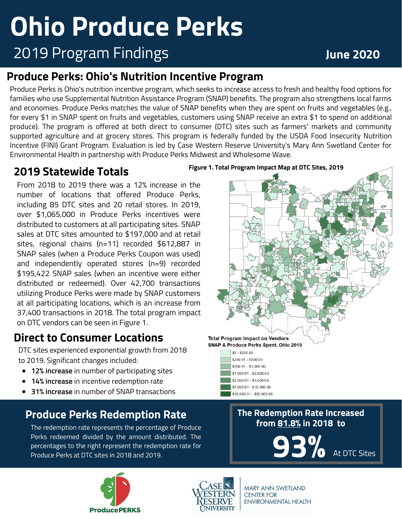# **Ohio Produce Perks**

## 2019 Program Findings **June 2020**

#### **Produce Perks: Ohio's Nutrition Incentive Program**

Produce Perks is Ohio's nutrition incentive program, which seeks to increase access to fresh and healthy food options for families who use Supplemental Nutrition Assistance Program (SNAP) benefits. The program also strengthens local farms and economies. Produce Perks matches the value of SNAP benefits when they are spent on fruits and vegetables (e.g., for every \$1 in SNAP spent on fruits and vegetables, customers using SNAP receive an extra \$1 to spend on additional produce). The program is offered at both direct to consumer (DTC) sites such as farmers' markets and community supported agriculture and at grocery stores. This program is federally funded by the USDA Food Insecurity Nutrition Incentive (FINI) Grant Program. Evaluation is led by Case Western Reserve University's Mary Ann Swetland Center for Environmental Health in partnership with Produce Perks Midwest and Wholesome Wave.

#### **2019 Statewide Totals**

From 2018 to 2019 there was a 12% increase in the number of locations that offered Produce Perks, including 85 DTC sites and 20 retail stores. In 2019, over \$1,065,000 in Produce Perks incentives were distributed to customers at all participating sites. SNAP sales at DTC sites amounted to \$197,000 and at retail sites, regional chains (n=11) recorded \$612,887 in SNAP sales (when a Produce Perks Coupon was used) and independently operated stores (n=9) recorded \$195,422 SNAP sales (when an incentive were either distributed or redeemed). Over 42,700 transactions utilizing Produce Perks were made by SNAP customers at all participating locations, which is an increase from 37,400 transactions in 2018. The total program impact on DTC vendors can be seen in Figure 1.

#### **Direct to Consumer Locations**

DTC sites experienced exponential growth from 2018 to 2019. Significant changes included:

- **12% increase** in number of participating sites
- **14% increase** in incentive redemption rate
- **31% increase** in number of SNAP transactions

#### **Produce Perks Redemption Rate**

The redemption rate represents the percentage of Produce Perks redeemed divided by the amount distributed. The percentages to the right represent the redemption rate for Produce Perks at DTC sites in 2018 and 2019. At DTC Sites in 2018 and 2019.





**MARY ANN SWETLAND CENTER FOR ENVIRONMENTAL HEALTH** 





#### **The Redemption Rate Increased from 81.8% in 2018 to**